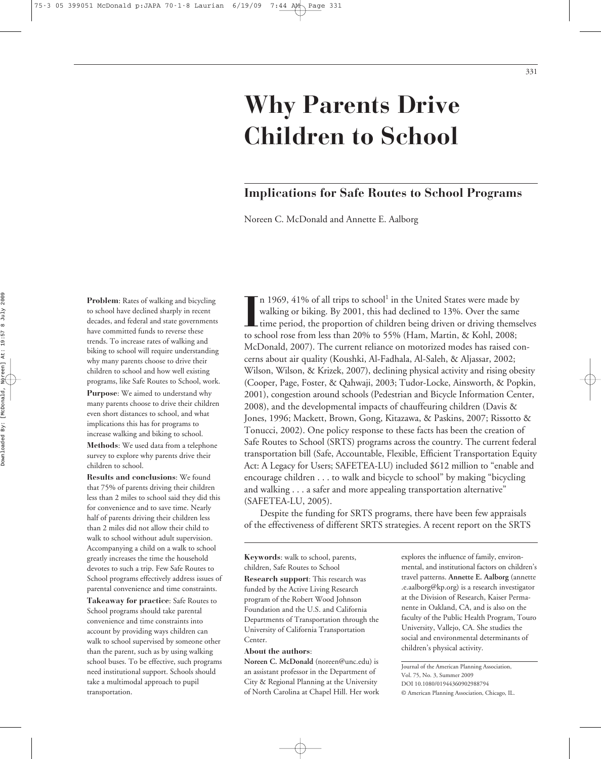# **Why Parents Drive Children to School**

## **Implications for Safe Routes to School Programs**

Noreen C. McDonald and Annette E. Aalborg

**Problem**: Rates of walking and bicycling to school have declined sharply in recent decades, and federal and state governments have committed funds to reverse these trends. To increase rates of walking and biking to school will require understanding why many parents choose to drive their children to school and how well existing programs, like Safe Routes to School, work. **Purpose**: We aimed to understand why many parents choose to drive their children even short distances to school, and what implications this has for programs to increase walking and biking to school. **Methods**: We used data from a telephone survey to explore why parents drive their children to school.

**Results and conclusions**: We found that 75% of parents driving their children less than 2 miles to school said they did this for convenience and to save time. Nearly half of parents driving their children less than 2 miles did not allow their child to walk to school without adult supervision. Accompanying a child on a walk to school greatly increases the time the household devotes to such a trip. Few Safe Routes to School programs effectively address issues of parental convenience and time constraints.

**Takeaway for practice**: Safe Routes to School programs should take parental convenience and time constraints into account by providing ways children can walk to school supervised by someone other than the parent, such as by using walking school buses. To be effective, such programs need institutional support. Schools should take a multimodal approach to pupil transportation.

In 1969, 41% of all trips to school<sup>1</sup> in the United States were made by walking or biking. By 2001, this had declined to 13%. Over the same time period, the proportion of children being driven or driving them; to school r n 1969, 41% of all trips to school<sup>1</sup> in the United States were made by walking or biking. By 2001, this had declined to 13%. Over the same time period, the proportion of children being driven or driving themselves McDonald, 2007). The current reliance on motorized modes has raised concerns about air quality (Koushki, Al-Fadhala, Al-Saleh, & Aljassar, 2002; Wilson, Wilson, & Krizek, 2007), declining physical activity and rising obesity (Cooper, Page, Foster, & Qahwaji, 2003; Tudor-Locke, Ainsworth, & Popkin, 2001), congestion around schools (Pedestrian and Bicycle Information Center, 2008), and the developmental impacts of chauffeuring children (Davis & Jones, 1996; Mackett, Brown, Gong, Kitazawa, & Paskins, 2007; Rissotto & Tonucci, 2002). One policy response to these facts has been the creation of Safe Routes to School (SRTS) programs across the country. The current federal transportation bill (Safe, Accountable, Flexible, Efficient Transportation Equity Act: A Legacy for Users; SAFETEA-LU) included \$612 million to "enable and encourage children . . . to walk and bicycle to school" by making "bicycling and walking . . . a safer and more appealing transportation alternative" (SAFETEA-LU, 2005).

Despite the funding for SRTS programs, there have been few appraisals of the effectiveness of different SRTS strategies. A recent report on the SRTS

**Keywords**: walk to school, parents, children, Safe Routes to School

**Research support**: This research was funded by the Active Living Research program of the Robert Wood Johnson Foundation and the U.S. and California Departments of Transportation through the University of California Transportation Center.

#### **About the authors**:

**Noreen C. McDonald** (noreen@unc.edu) is an assistant professor in the Department of City & Regional Planning at the University of North Carolina at Chapel Hill. Her work explores the influence of family, environmental, and institutional factors on children's travel patterns. **Annette E. Aalborg** (annette .e.aalborg@kp.org) is a research investigator at the Division of Research, Kaiser Permanente in Oakland, CA, and is also on the faculty of the Public Health Program, Touro University, Vallejo, CA. She studies the social and environmental determinants of children's physical activity.

Journal of the American Planning Association, Vol. 75, No. 3, Summer 2009 DOI 10.1080/01944360902988794 © American Planning Association, Chicago, IL.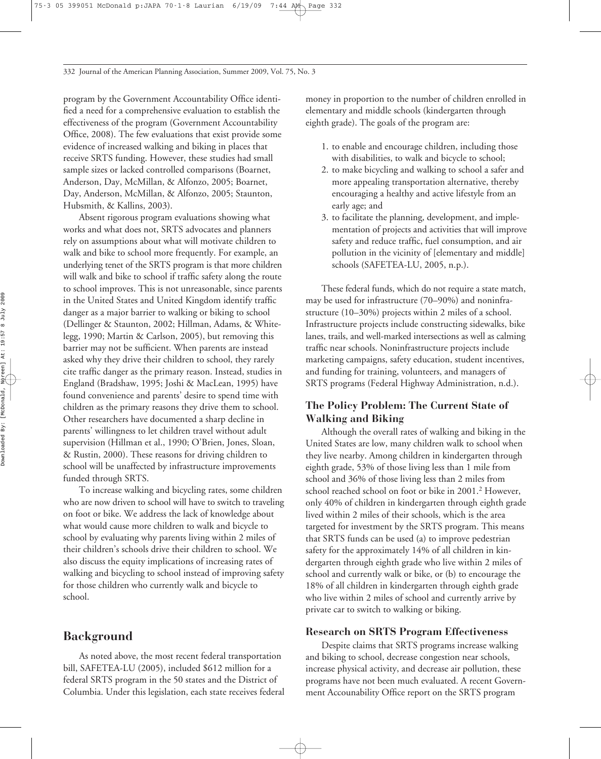program by the Government Accountability Office identified a need for a comprehensive evaluation to establish the effectiveness of the program (Government Accountability Office, 2008). The few evaluations that exist provide some evidence of increased walking and biking in places that receive SRTS funding. However, these studies had small sample sizes or lacked controlled comparisons (Boarnet, Anderson, Day, McMillan, & Alfonzo, 2005; Boarnet, Day, Anderson, McMillan, & Alfonzo, 2005; Staunton, Hubsmith, & Kallins, 2003).

Absent rigorous program evaluations showing what works and what does not, SRTS advocates and planners rely on assumptions about what will motivate children to walk and bike to school more frequently. For example, an underlying tenet of the SRTS program is that more children will walk and bike to school if traffic safety along the route to school improves. This is not unreasonable, since parents in the United States and United Kingdom identify traffic danger as a major barrier to walking or biking to school (Dellinger & Staunton, 2002; Hillman, Adams, & Whitelegg, 1990; Martin & Carlson, 2005), but removing this barrier may not be sufficient. When parents are instead asked why they drive their children to school, they rarely cite traffic danger as the primary reason. Instead, studies in England (Bradshaw, 1995; Joshi & MacLean, 1995) have found convenience and parents' desire to spend time with children as the primary reasons they drive them to school. Other researchers have documented a sharp decline in parents' willingness to let children travel without adult supervision (Hillman et al., 1990; O'Brien, Jones, Sloan, & Rustin, 2000). These reasons for driving children to school will be unaffected by infrastructure improvements funded through SRTS.

To increase walking and bicycling rates, some children who are now driven to school will have to switch to traveling on foot or bike. We address the lack of knowledge about what would cause more children to walk and bicycle to school by evaluating why parents living within 2 miles of their children's schools drive their children to school. We also discuss the equity implications of increasing rates of walking and bicycling to school instead of improving safety for those children who currently walk and bicycle to school.

# **Background**

As noted above, the most recent federal transportation bill, SAFETEA-LU (2005), included \$612 million for a federal SRTS program in the 50 states and the District of Columbia. Under this legislation, each state receives federal money in proportion to the number of children enrolled in elementary and middle schools (kindergarten through eighth grade). The goals of the program are:

- 1. to enable and encourage children, including those with disabilities, to walk and bicycle to school;
- 2. to make bicycling and walking to school a safer and more appealing transportation alternative, thereby encouraging a healthy and active lifestyle from an early age; and
- 3. to facilitate the planning, development, and implementation of projects and activities that will improve safety and reduce traffic, fuel consumption, and air pollution in the vicinity of [elementary and middle] schools (SAFETEA-LU, 2005, n.p.).

These federal funds, which do not require a state match, may be used for infrastructure (70–90%) and noninfrastructure (10–30%) projects within 2 miles of a school. Infrastructure projects include constructing sidewalks, bike lanes, trails, and well-marked intersections as well as calming traffic near schools. Noninfrastructure projects include marketing campaigns, safety education, student incentives, and funding for training, volunteers, and managers of SRTS programs (Federal Highway Administration, n.d.).

# **The Policy Problem: The Current State of Walking and Biking**

Although the overall rates of walking and biking in the United States are low, many children walk to school when they live nearby. Among children in kindergarten through eighth grade, 53% of those living less than 1 mile from school and 36% of those living less than 2 miles from school reached school on foot or bike in 2001. <sup>2</sup> However, only 40% of children in kindergarten through eighth grade lived within 2 miles of their schools, which is the area targeted for investment by the SRTS program. This means that SRTS funds can be used (a) to improve pedestrian safety for the approximately 14% of all children in kindergarten through eighth grade who live within 2 miles of school and currently walk or bike, or (b) to encourage the 18% of all children in kindergarten through eighth grade who live within 2 miles of school and currently arrive by private car to switch to walking or biking.

## **Research on SRTS Program Effectiveness**

Despite claims that SRTS programs increase walking and biking to school, decrease congestion near schools, increase physical activity, and decrease air pollution, these programs have not been much evaluated. A recent Government Accounability Office report on the SRTS program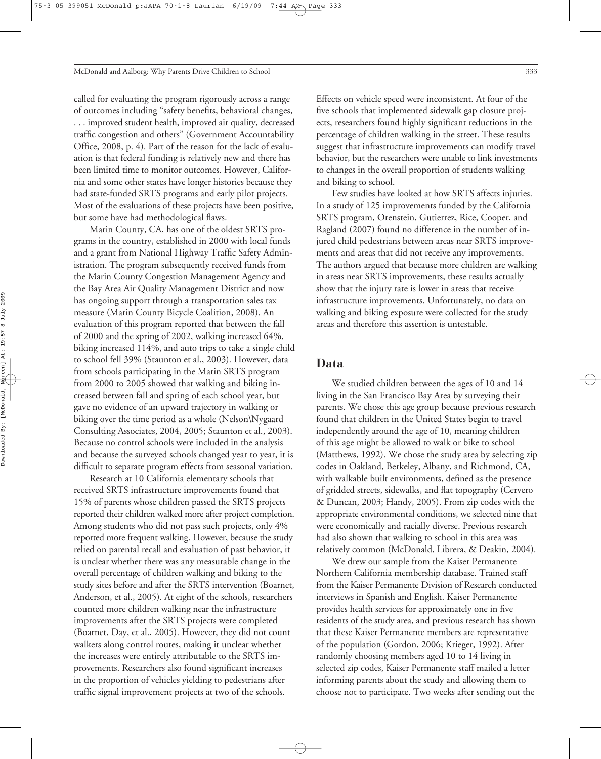called for evaluating the program rigorously across a range of outcomes including "safety benefits, behavioral changes, . . . improved student health, improved air quality, decreased traffic congestion and others" (Government Accountability Office, 2008, p. 4). Part of the reason for the lack of evaluation is that federal funding is relatively new and there has been limited time to monitor outcomes. However, California and some other states have longer histories because they had state-funded SRTS programs and early pilot projects. Most of the evaluations of these projects have been positive, but some have had methodological flaws.

Marin County, CA, has one of the oldest SRTS programs in the country, established in 2000 with local funds and a grant from National Highway Traffic Safety Administration. The program subsequently received funds from the Marin County Congestion Management Agency and the Bay Area Air Quality Management District and now has ongoing support through a transportation sales tax measure (Marin County Bicycle Coalition, 2008). An evaluation of this program reported that between the fall of 2000 and the spring of 2002, walking increased 64%, biking increased 114%, and auto trips to take a single child to school fell 39% (Staunton et al., 2003). However, data from schools participating in the Marin SRTS program from 2000 to 2005 showed that walking and biking increased between fall and spring of each school year, but gave no evidence of an upward trajectory in walking or biking over the time period as a whole (Nelson\Nygaard Consulting Associates, 2004, 2005; Staunton et al., 2003). Because no control schools were included in the analysis and because the surveyed schools changed year to year, it is difficult to separate program effects from seasonal variation.

Downloaded By: [McDonald, Noreen] At: 19:57 8 July 2009

Research at 10 California elementary schools that received SRTS infrastructure improvements found that 15% of parents whose children passed the SRTS projects reported their children walked more after project completion. Among students who did not pass such projects, only 4% reported more frequent walking. However, because the study relied on parental recall and evaluation of past behavior, it is unclear whether there was any measurable change in the overall percentage of children walking and biking to the study sites before and after the SRTS intervention (Boarnet, Anderson, et al., 2005). At eight of the schools, researchers counted more children walking near the infrastructure improvements after the SRTS projects were completed (Boarnet, Day, et al., 2005). However, they did not count walkers along control routes, making it unclear whether the increases were entirely attributable to the SRTS improvements. Researchers also found significant increases in the proportion of vehicles yielding to pedestrians after traffic signal improvement projects at two of the schools.

Effects on vehicle speed were inconsistent. At four of the five schools that implemented sidewalk gap closure projects, researchers found highly significant reductions in the percentage of children walking in the street. These results suggest that infrastructure improvements can modify travel behavior, but the researchers were unable to link investments to changes in the overall proportion of students walking and biking to school.

Few studies have looked at how SRTS affects injuries. In a study of 125 improvements funded by the California SRTS program, Orenstein, Gutierrez, Rice, Cooper, and Ragland (2007) found no difference in the number of injured child pedestrians between areas near SRTS improvements and areas that did not receive any improvements. The authors argued that because more children are walking in areas near SRTS improvements, these results actually show that the injury rate is lower in areas that receive infrastructure improvements. Unfortunately, no data on walking and biking exposure were collected for the study areas and therefore this assertion is untestable.

## **Data**

We studied children between the ages of 10 and 14 living in the San Francisco Bay Area by surveying their parents. We chose this age group because previous research found that children in the United States begin to travel independently around the age of 10, meaning children of this age might be allowed to walk or bike to school (Matthews, 1992). We chose the study area by selecting zip codes in Oakland, Berkeley, Albany, and Richmond, CA, with walkable built environments, defined as the presence of gridded streets, sidewalks, and flat topography (Cervero & Duncan, 2003; Handy, 2005). From zip codes with the appropriate environmental conditions, we selected nine that were economically and racially diverse. Previous research had also shown that walking to school in this area was relatively common (McDonald, Librera, & Deakin, 2004).

We drew our sample from the Kaiser Permanente Northern California membership database. Trained staff from the Kaiser Permanente Division of Research conducted interviews in Spanish and English. Kaiser Permanente provides health services for approximately one in five residents of the study area, and previous research has shown that these Kaiser Permanente members are representative of the population (Gordon, 2006; Krieger, 1992). After randomly choosing members aged 10 to 14 living in selected zip codes, Kaiser Permanente staff mailed a letter informing parents about the study and allowing them to choose not to participate. Two weeks after sending out the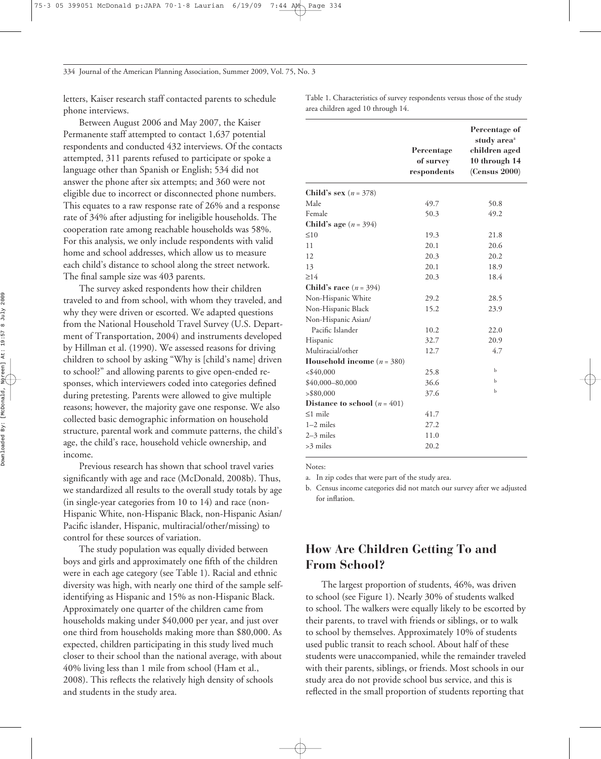letters, Kaiser research staff contacted parents to schedule phone interviews.

Between August 2006 and May 2007, the Kaiser Permanente staff attempted to contact 1,637 potential respondents and conducted 432 interviews. Of the contacts attempted, 311 parents refused to participate or spoke a language other than Spanish or English; 534 did not answer the phone after six attempts; and 360 were not eligible due to incorrect or disconnected phone numbers. This equates to a raw response rate of 26% and a response rate of 34% after adjusting for ineligible households. The cooperation rate among reachable households was 58%. For this analysis, we only include respondents with valid home and school addresses, which allow us to measure each child's distance to school along the street network. The final sample size was 403 parents.

The survey asked respondents how their children traveled to and from school, with whom they traveled, and why they were driven or escorted. We adapted questions from the National Household Travel Survey (U.S. Department of Transportation, 2004) and instruments developed by Hillman et al. (1990). We assessed reasons for driving children to school by asking "Why is [child's name] driven to school?" and allowing parents to give open-ended responses, which interviewers coded into categories defined during pretesting. Parents were allowed to give multiple reasons; however, the majority gave one response. We also collected basic demographic information on household structure, parental work and commute patterns, the child's age, the child's race, household vehicle ownership, and income.

Previous research has shown that school travel varies significantly with age and race (McDonald, 2008b). Thus, we standardized all results to the overall study totals by age (in single-year categories from 10 to 14) and race (non-Hispanic White, non-Hispanic Black, non-Hispanic Asian/ Pacific islander, Hispanic, multiracial/other/missing) to control for these sources of variation.

The study population was equally divided between boys and girls and approximately one fifth of the children were in each age category (see Table 1). Racial and ethnic diversity was high, with nearly one third of the sample selfidentifying as Hispanic and 15% as non-Hispanic Black. Approximately one quarter of the children came from households making under \$40,000 per year, and just over one third from households making more than \$80,000. As expected, children participating in this study lived much closer to their school than the national average, with about 40% living less than 1 mile from school (Ham et al., 2008). This reflects the relatively high density of schools and students in the study area.

|                                | Percentage<br>of survey<br>respondents | Percentage of<br>study area <sup>a</sup><br>children aged<br>10 through 14<br>(Census 2000) |
|--------------------------------|----------------------------------------|---------------------------------------------------------------------------------------------|
| Child's sex $(n = 378)$        |                                        |                                                                                             |
| Male                           | 49.7                                   | 50.8                                                                                        |
| Female                         | 50.3                                   | 49.2                                                                                        |
| Child's age $(n = 394)$        |                                        |                                                                                             |
| $\leq 10$                      | 19.3                                   | 21.8                                                                                        |
| 11                             | 20.1                                   | 20.6                                                                                        |
| 12                             | 20.3                                   | 20.2                                                                                        |
| 13                             | 20.1                                   | 18.9                                                                                        |
| $\geq$ 14                      | 20.3                                   | 18.4                                                                                        |
| Child's race $(n = 394)$       |                                        |                                                                                             |
| Non-Hispanic White             | 29.2                                   | 28.5                                                                                        |
| Non-Hispanic Black             | 15.2                                   | 23.9                                                                                        |
| Non-Hispanic Asian/            |                                        |                                                                                             |
| Pacific Islander               | 10.2                                   | 22.0                                                                                        |
| Hispanic                       | 32.7                                   | 20.9                                                                                        |
| Multiracial/other              | 12.7                                   | 4.7                                                                                         |
| Household income $(n = 380)$   |                                        |                                                                                             |
| < \$40,000                     | 25.8                                   | $\mathbf b$                                                                                 |
| \$40,000-80,000                | 36.6                                   | $\mathbf b$                                                                                 |
| > \$80,000                     | 37.6                                   | h                                                                                           |
| Distance to school $(n = 401)$ |                                        |                                                                                             |
| $\leq$ 1 mile                  | 41.7                                   |                                                                                             |
| $1-2$ miles                    | 27.2                                   |                                                                                             |
| $2-3$ miles                    | 11.0                                   |                                                                                             |
| >3 miles                       | 20.2                                   |                                                                                             |

Notes:

a. In zip codes that were part of the study area.

b. Census income categories did not match our survey after we adjusted for inflation.

# **How Are Children Getting To and From School?**

The largest proportion of students, 46%, was driven to school (see Figure 1). Nearly 30% of students walked to school. The walkers were equally likely to be escorted by their parents, to travel with friends or siblings, or to walk to school by themselves. Approximately 10% of students used public transit to reach school. About half of these students were unaccompanied, while the remainder traveled with their parents, siblings, or friends. Most schools in our study area do not provide school bus service, and this is reflected in the small proportion of students reporting that

Table 1. Characteristics of survey respondents versus those of the study area children aged 10 through 14.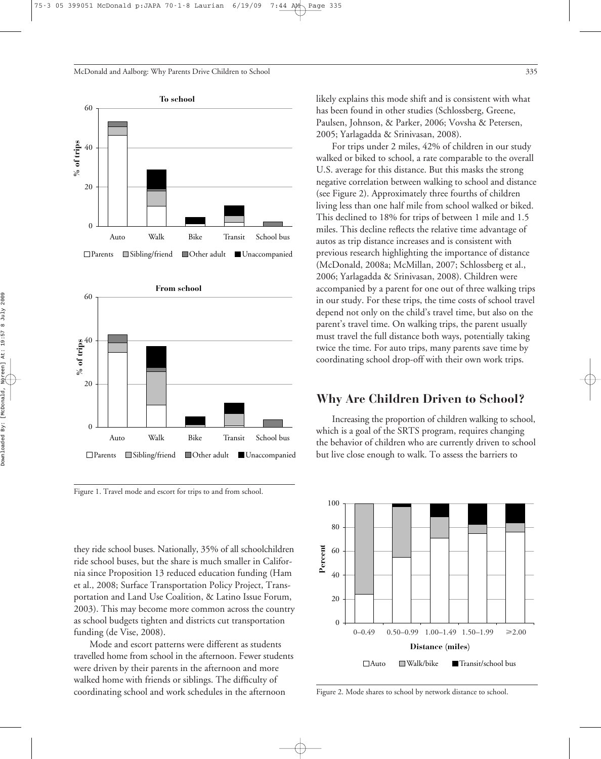



Downloaded By: [McDonald, Noreen] At: 19:57 8 July 2009

Figure 1. Travel mode and escort for trips to and from school.

they ride school buses. Nationally, 35% of all schoolchildren ride school buses, but the share is much smaller in California since Proposition 13 reduced education funding (Ham et al., 2008; Surface Transportation Policy Project, Transportation and Land Use Coalition, & Latino Issue Forum, 2003). This may become more common across the country as school budgets tighten and districts cut transportation funding (de Vise, 2008).

Mode and escort patterns were different as students travelled home from school in the afternoon. Fewer students were driven by their parents in the afternoon and more walked home with friends or siblings. The difficulty of coordinating school and work schedules in the afternoon

likely explains this mode shift and is consistent with what has been found in other studies (Schlossberg, Greene, Paulsen, Johnson, & Parker, 2006; Vovsha & Petersen, 2005; Yarlagadda & Srinivasan, 2008).

For trips under 2 miles, 42% of children in our study walked or biked to school, a rate comparable to the overall U.S. average for this distance. But this masks the strong negative correlation between walking to school and distance (see Figure 2). Approximately three fourths of children living less than one half mile from school walked or biked. This declined to 18% for trips of between 1 mile and 1.5 miles. This decline reflects the relative time advantage of autos as trip distance increases and is consistent with previous research highlighting the importance of distance (McDonald, 2008a; McMillan, 2007; Schlossberg et al., 2006; Yarlagadda & Srinivasan, 2008). Children were accompanied by a parent for one out of three walking trips in our study. For these trips, the time costs of school travel depend not only on the child's travel time, but also on the parent's travel time. On walking trips, the parent usually must travel the full distance both ways, potentially taking twice the time. For auto trips, many parents save time by coordinating school drop-off with their own work trips.

# **Why Are Children Driven to School?**

Increasing the proportion of children walking to school, which is a goal of the SRTS program, requires changing the behavior of children who are currently driven to school but live close enough to walk. To assess the barriers to



Figure 2. Mode shares to school by network distance to school.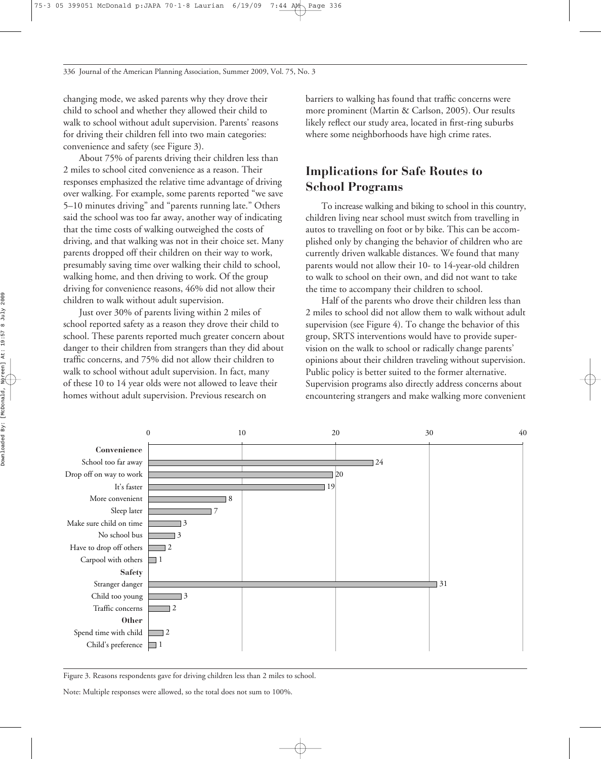changing mode, we asked parents why they drove their child to school and whether they allowed their child to walk to school without adult supervision. Parents' reasons for driving their children fell into two main categories: convenience and safety (see Figure 3).

About 75% of parents driving their children less than 2 miles to school cited convenience as a reason. Their responses emphasized the relative time advantage of driving over walking. For example, some parents reported "we save 5–10 minutes driving" and "parents running late." Others said the school was too far away, another way of indicating that the time costs of walking outweighed the costs of driving, and that walking was not in their choice set. Many parents dropped off their children on their way to work, presumably saving time over walking their child to school, walking home, and then driving to work. Of the group driving for convenience reasons, 46% did not allow their children to walk without adult supervision.

Just over 30% of parents living within 2 miles of school reported safety as a reason they drove their child to school. These parents reported much greater concern about danger to their children from strangers than they did about traffic concerns, and 75% did not allow their children to walk to school without adult supervision. In fact, many of these 10 to 14 year olds were not allowed to leave their homes without adult supervision. Previous research on

barriers to walking has found that traffic concerns were more prominent (Martin & Carlson, 2005). Our results likely reflect our study area, located in first-ring suburbs where some neighborhoods have high crime rates.

# **Implications for Safe Routes to School Programs**

To increase walking and biking to school in this country, children living near school must switch from travelling in autos to travelling on foot or by bike. This can be accomplished only by changing the behavior of children who are currently driven walkable distances. We found that many parents would not allow their 10- to 14-year-old children to walk to school on their own, and did not want to take the time to accompany their children to school.

Half of the parents who drove their children less than 2 miles to school did not allow them to walk without adult supervision (see Figure 4). To change the behavior of this group, SRTS interventions would have to provide supervision on the walk to school or radically change parents' opinions about their children traveling without supervision. Public policy is better suited to the former alternative. Supervision programs also directly address concerns about encountering strangers and make walking more convenient



Figure 3. Reasons respondents gave for driving children less than 2 miles to school.

Note: Multiple responses were allowed, so the total does not sum to 100%.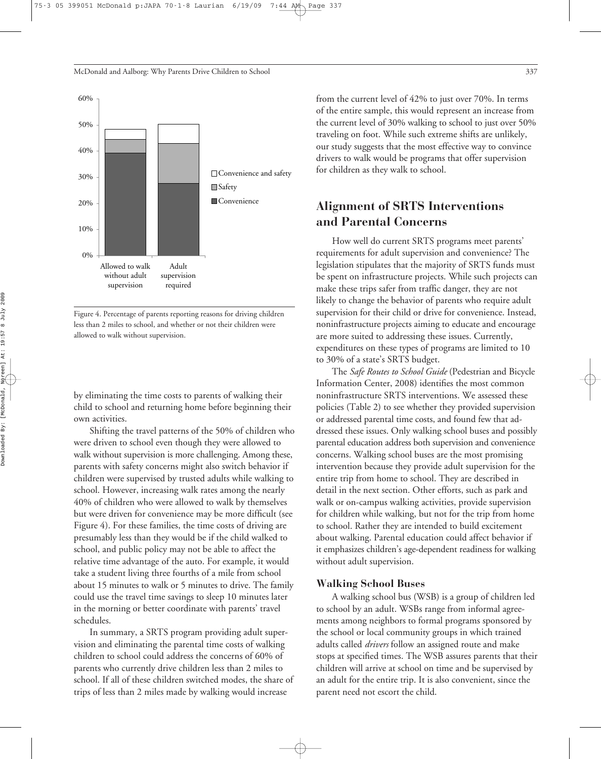

Figure 4. Percentage of parents reporting reasons for driving children less than 2 miles to school, and whether or not their children were allowed to walk without supervision.

by eliminating the time costs to parents of walking their child to school and returning home before beginning their own activities.

Shifting the travel patterns of the 50% of children who were driven to school even though they were allowed to walk without supervision is more challenging. Among these, parents with safety concerns might also switch behavior if children were supervised by trusted adults while walking to school. However, increasing walk rates among the nearly 40% of children who were allowed to walk by themselves but were driven for convenience may be more difficult (see Figure 4). For these families, the time costs of driving are presumably less than they would be if the child walked to school, and public policy may not be able to affect the relative time advantage of the auto. For example, it would take a student living three fourths of a mile from school about 15 minutes to walk or 5 minutes to drive. The family could use the travel time savings to sleep 10 minutes later in the morning or better coordinate with parents' travel schedules.

In summary, a SRTS program providing adult supervision and eliminating the parental time costs of walking children to school could address the concerns of 60% of parents who currently drive children less than 2 miles to school. If all of these children switched modes, the share of trips of less than 2 miles made by walking would increase

from the current level of 42% to just over 70%. In terms of the entire sample, this would represent an increase from the current level of 30% walking to school to just over 50% traveling on foot. While such extreme shifts are unlikely, our study suggests that the most effective way to convince drivers to walk would be programs that offer supervision for children as they walk to school.

# **Alignment of SRTS Interventions and Parental Concerns**

How well do current SRTS programs meet parents' requirements for adult supervision and convenience? The legislation stipulates that the majority of SRTS funds must be spent on infrastructure projects. While such projects can make these trips safer from traffic danger, they are not likely to change the behavior of parents who require adult supervision for their child or drive for convenience. Instead, noninfrastructure projects aiming to educate and encourage are more suited to addressing these issues. Currently, expenditures on these types of programs are limited to 10 to 30% of a state's SRTS budget.

The *Safe Routes to School Guide* (Pedestrian and Bicycle Information Center, 2008) identifies the most common noninfrastructure SRTS interventions. We assessed these policies (Table 2) to see whether they provided supervision or addressed parental time costs, and found few that addressed these issues. Only walking school buses and possibly parental education address both supervision and convenience concerns. Walking school buses are the most promising intervention because they provide adult supervision for the entire trip from home to school. They are described in detail in the next section. Other efforts, such as park and walk or on-campus walking activities, provide supervision for children while walking, but not for the trip from home to school. Rather they are intended to build excitement about walking. Parental education could affect behavior if it emphasizes children's age-dependent readiness for walking without adult supervision.

## **Walking School Buses**

A walking school bus (WSB) is a group of children led to school by an adult. WSBs range from informal agreements among neighbors to formal programs sponsored by the school or local community groups in which trained adults called *drivers* follow an assigned route and make stops at specified times. The WSB assures parents that their children will arrive at school on time and be supervised by an adult for the entire trip. It is also convenient, since the parent need not escort the child.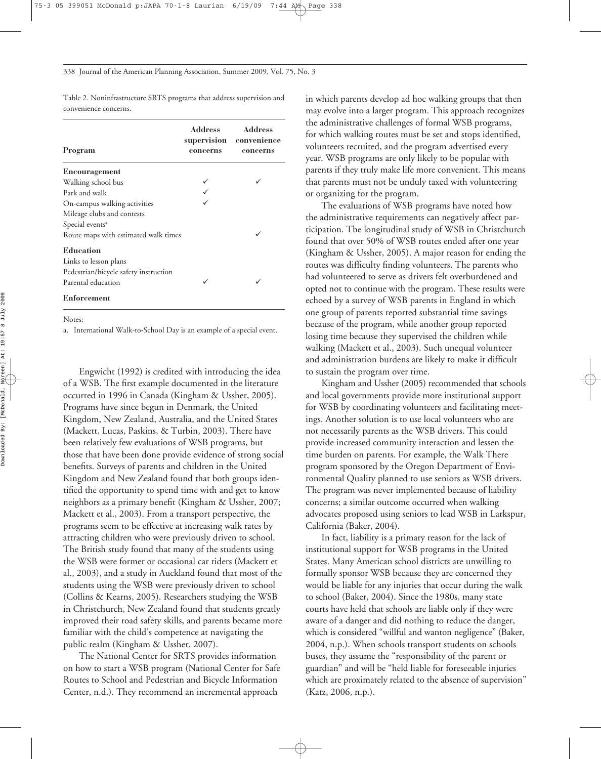Table 2. Noninfrastructure SRTS programs that address supervision and convenience concerns.

| Program                               | Address<br>concerns | <b>Address</b><br>supervision convenience<br>concerns |
|---------------------------------------|---------------------|-------------------------------------------------------|
| Encouragement                         |                     |                                                       |
| Walking school bus                    |                     |                                                       |
| Park and walk                         |                     |                                                       |
| On-campus walking activities          |                     |                                                       |
| Mileage clubs and contests            |                     |                                                       |
| Special events <sup>a</sup>           |                     |                                                       |
| Route maps with estimated walk times  |                     |                                                       |
| <b>Education</b>                      |                     |                                                       |
| Links to lesson plans                 |                     |                                                       |
| Pedestrian/bicycle safety instruction |                     |                                                       |
| Parental education                    |                     |                                                       |
| <b>Enforcement</b>                    |                     |                                                       |

Notes:

a. International Walk-to-School Day is an example of a special event.

Engwicht (1992) is credited with introducing the idea of a WSB. The first example documented in the literature occurred in 1996 in Canada (Kingham & Ussher, 2005). Programs have since begun in Denmark, the United Kingdom, New Zealand, Australia, and the United States (Mackett, Lucas, Paskins, & Turbin, 2003). There have been relatively few evaluations of WSB programs, but those that have been done provide evidence of strong social benefits. Surveys of parents and children in the United Kingdom and New Zealand found that both groups identified the opportunity to spend time with and get to know neighbors as a primary benefit (Kingham & Ussher, 2007; Mackett et al., 2003). From a transport perspective, the programs seem to be effective at increasing walk rates by attracting children who were previously driven to school. The British study found that many of the students using the WSB were former or occasional car riders (Mackett et al., 2003), and a study in Auckland found that most of the students using the WSB were previously driven to school (Collins & Kearns, 2005). Researchers studying the WSB in Christchurch, New Zealand found that students greatly improved their road safety skills, and parents became more familiar with the child's competence at navigating the public realm (Kingham & Ussher, 2007).

The National Center for SRTS provides information on how to start a WSB program (National Center for Safe Routes to School and Pedestrian and Bicycle Information Center, n.d.). They recommend an incremental approach

in which parents develop ad hoc walking groups that then may evolve into a larger program. This approach recognizes the administrative challenges of formal WSB programs, for which walking routes must be set and stops identified, volunteers recruited, and the program advertised every year. WSB programs are only likely to be popular with parents if they truly make life more convenient. This means that parents must not be unduly taxed with volunteering or organizing for the program.

The evaluations of WSB programs have noted how the administrative requirements can negatively affect participation. The longitudinal study of WSB in Christchurch found that over 50% of WSB routes ended after one year (Kingham & Ussher, 2005). A major reason for ending the routes was difficulty finding volunteers. The parents who had volunteered to serve as drivers felt overburdened and opted not to continue with the program. These results were echoed by a survey of WSB parents in England in which one group of parents reported substantial time savings because of the program, while another group reported losing time because they supervised the children while walking (Mackett et al., 2003). Such unequal volunteer and administration burdens are likely to make it difficult to sustain the program over time.

Kingham and Ussher (2005) recommended that schools and local governments provide more institutional support for WSB by coordinating volunteers and facilitating meetings. Another solution is to use local volunteers who are not necessarily parents as the WSB drivers. This could provide increased community interaction and lessen the time burden on parents. For example, the Walk There program sponsored by the Oregon Department of Environmental Quality planned to use seniors as WSB drivers. The program was never implemented because of liability concerns; a similar outcome occurred when walking advocates proposed using seniors to lead WSB in Larkspur, California (Baker, 2004).

In fact, liability is a primary reason for the lack of institutional support for WSB programs in the United States. Many American school districts are unwilling to formally sponsor WSB because they are concerned they would be liable for any injuries that occur during the walk to school (Baker, 2004). Since the 1980s, many state courts have held that schools are liable only if they were aware of a danger and did nothing to reduce the danger, which is considered "willful and wanton negligence" (Baker, 2004, n.p.). When schools transport students on schools buses, they assume the "responsibility of the parent or guardian" and will be "held liable for foreseeable injuries which are proximately related to the absence of supervision" (Katz, 2006, n.p.).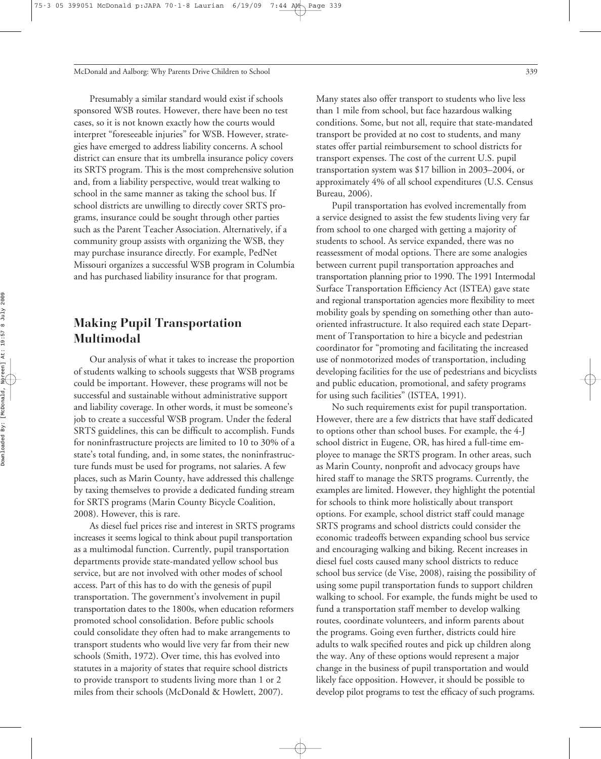Presumably a similar standard would exist if schools sponsored WSB routes. However, there have been no test cases, so it is not known exactly how the courts would interpret "foreseeable injuries" for WSB. However, strategies have emerged to address liability concerns. A school district can ensure that its umbrella insurance policy covers its SRTS program. This is the most comprehensive solution and, from a liability perspective, would treat walking to school in the same manner as taking the school bus. If school districts are unwilling to directly cover SRTS programs, insurance could be sought through other parties such as the Parent Teacher Association. Alternatively, if a community group assists with organizing the WSB, they may purchase insurance directly. For example, PedNet Missouri organizes a successful WSB program in Columbia and has purchased liability insurance for that program.

# **Making Pupil Transportation Multimodal**

Our analysis of what it takes to increase the proportion of students walking to schools suggests that WSB programs could be important. However, these programs will not be successful and sustainable without administrative support and liability coverage. In other words, it must be someone's job to create a successful WSB program. Under the federal SRTS guidelines, this can be difficult to accomplish. Funds for noninfrastructure projects are limited to 10 to 30% of a state's total funding, and, in some states, the noninfrastructure funds must be used for programs, not salaries. A few places, such as Marin County, have addressed this challenge by taxing themselves to provide a dedicated funding stream for SRTS programs (Marin County Bicycle Coalition, 2008). However, this is rare.

As diesel fuel prices rise and interest in SRTS programs increases it seems logical to think about pupil transportation as a multimodal function. Currently, pupil transportation departments provide state-mandated yellow school bus service, but are not involved with other modes of school access. Part of this has to do with the genesis of pupil transportation. The government's involvement in pupil transportation dates to the 1800s, when education reformers promoted school consolidation. Before public schools could consolidate they often had to make arrangements to transport students who would live very far from their new schools (Smith, 1972). Over time, this has evolved into statutes in a majority of states that require school districts to provide transport to students living more than 1 or 2 miles from their schools (McDonald & Howlett, 2007).

Many states also offer transport to students who live less than 1 mile from school, but face hazardous walking conditions. Some, but not all, require that state-mandated transport be provided at no cost to students, and many states offer partial reimbursement to school districts for transport expenses. The cost of the current U.S. pupil transportation system was \$17 billion in 2003–2004, or approximately 4% of all school expenditures (U.S. Census Bureau, 2006).

Pupil transportation has evolved incrementally from a service designed to assist the few students living very far from school to one charged with getting a majority of students to school. As service expanded, there was no reassessment of modal options. There are some analogies between current pupil transportation approaches and transportation planning prior to 1990. The 1991 Intermodal Surface Transportation Efficiency Act (ISTEA) gave state and regional transportation agencies more flexibility to meet mobility goals by spending on something other than autooriented infrastructure. It also required each state Department of Transportation to hire a bicycle and pedestrian coordinator for "promoting and facilitating the increased use of nonmotorized modes of transportation, including developing facilities for the use of pedestrians and bicyclists and public education, promotional, and safety programs for using such facilities" (ISTEA, 1991).

No such requirements exist for pupil transportation. However, there are a few districts that have staff dedicated to options other than school buses. For example, the 4-J school district in Eugene, OR, has hired a full-time employee to manage the SRTS program. In other areas, such as Marin County, nonprofit and advocacy groups have hired staff to manage the SRTS programs. Currently, the examples are limited. However, they highlight the potential for schools to think more holistically about transport options. For example, school district staff could manage SRTS programs and school districts could consider the economic tradeoffs between expanding school bus service and encouraging walking and biking. Recent increases in diesel fuel costs caused many school districts to reduce school bus service (de Vise, 2008), raising the possibility of using some pupil transportation funds to support children walking to school. For example, the funds might be used to fund a transportation staff member to develop walking routes, coordinate volunteers, and inform parents about the programs. Going even further, districts could hire adults to walk specified routes and pick up children along the way. Any of these options would represent a major change in the business of pupil transportation and would likely face opposition. However, it should be possible to develop pilot programs to test the efficacy of such programs.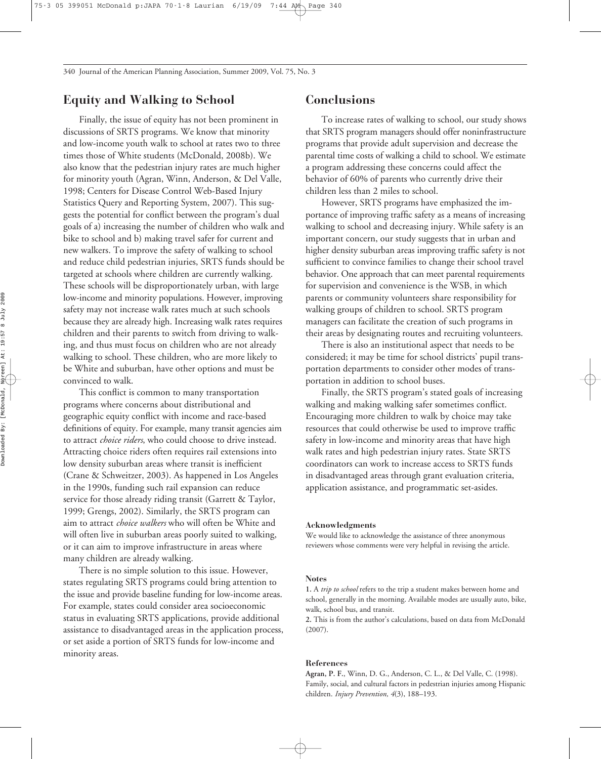# **Equity and Walking to School**

Finally, the issue of equity has not been prominent in discussions of SRTS programs. We know that minority and low-income youth walk to school at rates two to three times those of White students (McDonald, 2008b). We also know that the pedestrian injury rates are much higher for minority youth (Agran, Winn, Anderson, & Del Valle, 1998; Centers for Disease Control Web-Based Injury Statistics Query and Reporting System, 2007). This suggests the potential for conflict between the program's dual goals of a) increasing the number of children who walk and bike to school and b) making travel safer for current and new walkers. To improve the safety of walking to school and reduce child pedestrian injuries, SRTS funds should be targeted at schools where children are currently walking. These schools will be disproportionately urban, with large low-income and minority populations. However, improving safety may not increase walk rates much at such schools because they are already high. Increasing walk rates requires children and their parents to switch from driving to walking, and thus must focus on children who are not already walking to school. These children, who are more likely to be White and suburban, have other options and must be convinced to walk.

This conflict is common to many transportation programs where concerns about distributional and geographic equity conflict with income and race-based definitions of equity. For example, many transit agencies aim to attract *choice riders*, who could choose to drive instead. Attracting choice riders often requires rail extensions into low density suburban areas where transit is inefficient (Crane & Schweitzer, 2003). As happened in Los Angeles in the 1990s, funding such rail expansion can reduce service for those already riding transit (Garrett & Taylor, 1999; Grengs, 2002). Similarly, the SRTS program can aim to attract *choice walkers* who will often be White and will often live in suburban areas poorly suited to walking, or it can aim to improve infrastructure in areas where many children are already walking.

There is no simple solution to this issue. However, states regulating SRTS programs could bring attention to the issue and provide baseline funding for low-income areas. For example, states could consider area socioeconomic status in evaluating SRTS applications, provide additional assistance to disadvantaged areas in the application process, or set aside a portion of SRTS funds for low-income and minority areas.

## **Conclusions**

To increase rates of walking to school, our study shows that SRTS program managers should offer noninfrastructure programs that provide adult supervision and decrease the parental time costs of walking a child to school. We estimate a program addressing these concerns could affect the behavior of 60% of parents who currently drive their children less than 2 miles to school.

However, SRTS programs have emphasized the importance of improving traffic safety as a means of increasing walking to school and decreasing injury. While safety is an important concern, our study suggests that in urban and higher density suburban areas improving traffic safety is not sufficient to convince families to change their school travel behavior. One approach that can meet parental requirements for supervision and convenience is the WSB, in which parents or community volunteers share responsibility for walking groups of children to school. SRTS program managers can facilitate the creation of such programs in their areas by designating routes and recruiting volunteers.

There is also an institutional aspect that needs to be considered; it may be time for school districts' pupil transportation departments to consider other modes of transportation in addition to school buses.

Finally, the SRTS program's stated goals of increasing walking and making walking safer sometimes conflict. Encouraging more children to walk by choice may take resources that could otherwise be used to improve traffic safety in low-income and minority areas that have high walk rates and high pedestrian injury rates. State SRTS coordinators can work to increase access to SRTS funds in disadvantaged areas through grant evaluation criteria, application assistance, and programmatic set-asides.

#### **Acknowledgments**

We would like to acknowledge the assistance of three anonymous reviewers whose comments were very helpful in revising the article.

#### **Notes**

**1.** A *trip to school* refers to the trip a student makes between home and school, generally in the morning. Available modes are usually auto, bike, walk, school bus, and transit.

**2.** This is from the author's calculations, based on data from McDonald (2007).

#### **References**

**Agran, P. F.**, Winn, D. G., Anderson, C. L., & Del Valle, C. (1998). Family, social, and cultural factors in pedestrian injuries among Hispanic children. *Injury Prevention, 4*(3), 188–193.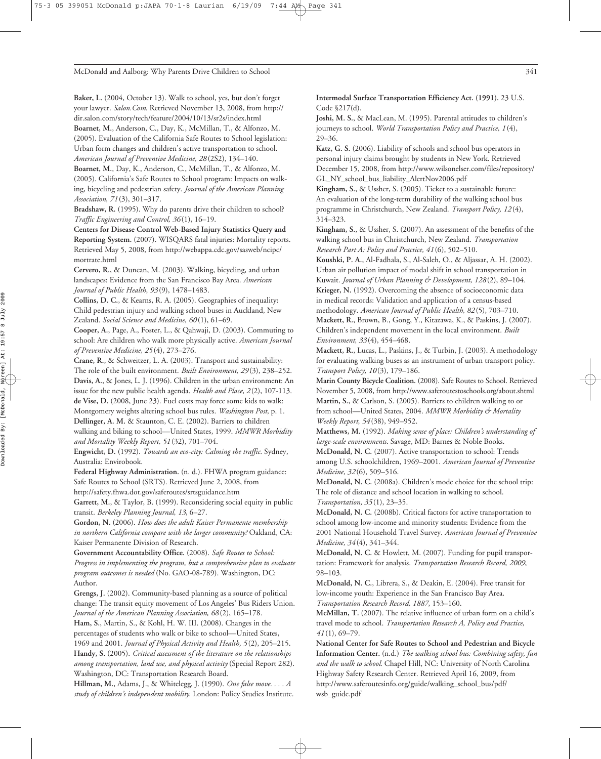(2005). Evaluation of the California Safe Routes to School legislation: Urban form changes and children's active transportation to school. *American Journal of Preventive Medicine, 28* (2S2), 134–140.

**Boarnet, M.**, Day, K., Anderson, C., McMillan, T., & Alfonzo, M. (2005). California's Safe Routes to School program: Impacts on walking, bicycling and pedestrian safety. *Journal of the American Planning Association, 71* (3), 301–317.

**Bradshaw, R.** (1995). Why do parents drive their children to school? *Traffic Engineering and Control, 36* (1), 16–19.

**Centers for Disease Control Web-Based Injury Statistics Query and Reporting System.** (2007). WISQARS fatal injuries: Mortality reports. Retrieved May 5, 2008, from http://webappa.cdc.gov/sasweb/ncipc/ mortrate.html

**Cervero, R.**, & Duncan, M. (2003). Walking, bicycling, and urban landscapes: Evidence from the San Francisco Bay Area. *American Journal of Public Health, 93* (9), 1478–1483.

**Collins, D. C.**, & Kearns, R. A. (2005). Geographies of inequality: Child pedestrian injury and walking school buses in Auckland, New Zealand. *Social Science and Medicine, 60* (1), 61–69.

**Cooper, A.**, Page, A., Foster, L., & Qahwaji, D. (2003). Commuting to school: Are children who walk more physically active. *American Journal of Preventive Medicine, 25* (4), 273–276.

**Crane, R.**, & Schweitzer, L. A. (2003). Transport and sustainability: The role of the built environment. *Built Environment, 29* (3), 238–252. **Davis, A.**, & Jones, L. J. (1996). Children in the urban environment: An issue for the new public health agenda. *Health and Place, 2* (2), 107-113. **de Vise, D.** (2008, June 23). Fuel costs may force some kids to walk: Montgomery weights altering school bus rules. *Washington Post,* p. 1. **Dellinger, A. M.** & Staunton, C. E. (2002). Barriers to children walking and biking to school—United States, 1999. *MMWR Morbidity and Mortality Weekly Report, 51* (32), 701–704.

Downloaded By: [McDonald, Noreen] At: 19:57 8 July 2009

July

**Engwicht, D.** (1992). *Towards an eco-city: Calming the traffic*. Sydney, Australia: Envirobook.

**Federal Highway Administration.** (n. d.). FHWA program guidance: Safe Routes to School (SRTS). Retrieved June 2, 2008, from http://safety.fhwa.dot.gov/saferoutes/srtsguidance.htm

**Garrett, M.**, & Taylor, B. (1999). Reconsidering social equity in public transit. *Berkeley Planning Journal, 13*, 6–27.

**Gordon, N.** (2006). *How does the adult Kaiser Permanente membership in northern California compare with the larger community?* Oakland, CA: Kaiser Permanente Division of Research.

**Government Accountability Office.** (2008). *Safe Routes to School: Progress in implementing the program, but a comprehensive plan to evaluate program outcomes is needed* (No. GAO-08-789). Washington, DC: Author.

**Grengs, J.** (2002). Community-based planning as a source of political change: The transit equity movement of Los Angeles' Bus Riders Union. *Journal of the American Planning Association, 68* (2), 165–178.

**Ham, S.**, Martin, S., & Kohl, H. W. III. (2008). Changes in the percentages of students who walk or bike to school—United States, 1969 and 2001. *Journal of Physical Activity and Health, 5* (2), 205–215. **Handy, S.** (2005). *Critical assessment of the literature on the relationships among transportation, land use, and physical activity* (Special Report 282). Washington, DC: Transportation Research Board.

**Hillman, M.**, Adams, J., & Whitelegg, J. (1990). *One false move. . . . A study of children's independent mobility*. London: Policy Studies Institute.

**Intermodal Surface Transportation Efficiency Act. (1991).** 23 U.S. Code §217(d).

**Joshi, M. S.**, & MacLean, M. (1995). Parental attitudes to children's journeys to school. *World Transportation Policy and Practice, 1* (4), 29–36.

**Katz, G. S.** (2006). Liability of schools and school bus operators in personal injury claims brought by students in New York. Retrieved December 15, 2008, from http://www.wilsonelser.com/files/repository/ GL\_NY\_school\_bus\_liability\_AlertNov2006.pdf

**Kingham, S.**, & Ussher, S. (2005). Ticket to a sustainable future: An evaluation of the long-term durability of the walking school bus programme in Christchurch, New Zealand. *Transport Policy, 12* (4), 314–323.

**Kingham, S.**, & Ussher, S. (2007). An assessment of the benefits of the walking school bus in Christchurch, New Zealand. *Transportation Research Part A: Policy and Practice, 41* (6), 502–510.

**Koushki, P. A.**, Al-Fadhala, S., Al-Saleh, O., & Aljassar, A. H. (2002). Urban air pollution impact of modal shift in school transportation in Kuwait. *Journal of Urban Planning & Development, 128* (2), 89–104. **Krieger, N.** (1992). Overcoming the absence of socioeconomic data in medical records: Validation and application of a census-based methodology. *American Journal of Public Health, 82* (5), 703–710. **Mackett, R.**, Brown, B., Gong, Y., Kitazawa, K., & Paskins, J. (2007). Children's independent movement in the local environment. *Built Environment, 33* (4), 454–468.

**Mackett, R.**, Lucas, L., Paskins, J., & Turbin, J. (2003). A methodology for evaluating walking buses as an instrument of urban transport policy. *Transport Policy, 10* (3), 179–186.

**Marin County Bicycle Coalition.** (2008). Safe Routes to School. Retrieved November 5, 2008, from http://www.saferoutestoschools.org/about.shtml **Martin, S.**, & Carlson, S. (2005). Barriers to children walking to or from school—United States, 2004. *MMWR Morbidity & Mortality Weekly Report, 54* (38), 949–952.

**Matthews, M.** (1992). *Making sense of place: Children's understanding of large-scale environments*. Savage, MD: Barnes & Noble Books.

**McDonald, N. C.** (2007). Active transportation to school: Trends among U.S. schoolchildren, 1969–2001. *American Journal of Preventive Medicine, 32* (6), 509–516.

**McDonald, N. C.** (2008a). Children's mode choice for the school trip: The role of distance and school location in walking to school. *Transportation, 35* (1), 23–35.

**McDonald, N. C.** (2008b). Critical factors for active transportation to school among low-income and minority students: Evidence from the 2001 National Household Travel Survey. *American Journal of Preventive Medicine, 34* (4), 341–344.

**McDonald, N. C.** & Howlett, M. (2007). Funding for pupil transportation: Framework for analysis. *Transportation Research Record, 2009*, 98–103.

**McDonald, N. C.**, Librera, S., & Deakin, E. (2004). Free transit for low-income youth: Experience in the San Francisco Bay Area. *Transportation Research Record, 1887*, 153–160.

**McMillan, T.** (2007). The relative influence of urban form on a child's travel mode to school. *Transportation Research A, Policy and Practice, 41* (1), 69–79.

**National Center for Safe Routes to School and Pedestrian and Bicycle Information Center.** (n.d.) *The walking school bus: Combining safety, fun and the walk to school.* Chapel Hill, NC: University of North Carolina Highway Safety Research Center. Retrieved April 16, 2009, from http://www.saferoutesinfo.org/guide/walking\_school\_bus/pdf/ wsb\_guide.pdf